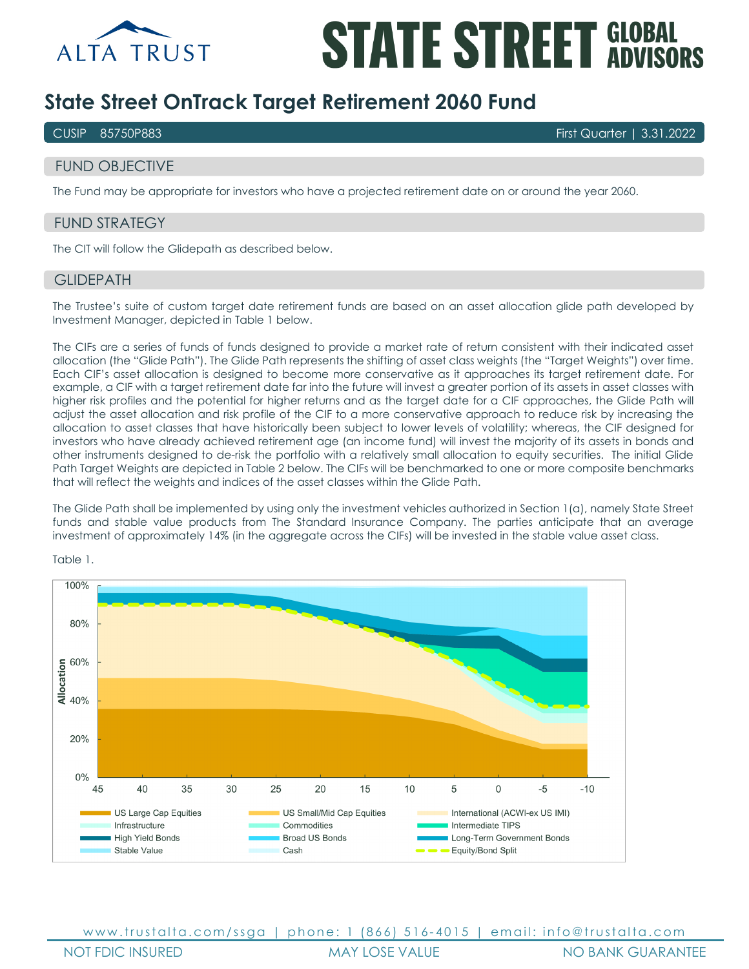

# **STATE STREET GLOBAL**

## **State Street OnTrack Target Retirement 2060 Fund**

CUSIP 85750P883 First Quarter | 3.31.2022

## FUND OBJECTIVE

The Fund may be appropriate for investors who have a projected retirement date on or around the year 2060.

## FUND STRATEGY

The CIT will follow the Glidepath as described below.

#### **GLIDEPATH**

The Trustee's suite of custom target date retirement funds are based on an asset allocation glide path developed by Investment Manager, depicted in Table 1 below.

The CIFs are a series of funds of funds designed to provide a market rate of return consistent with their indicated asset allocation (the "Glide Path"). The Glide Path represents the shifting of asset class weights (the "Target Weights") over time. Each CIF's asset allocation is designed to become more conservative as it approaches its target retirement date. For example, a CIF with a target retirement date far into the future will invest a greater portion of its assets in asset classes with higher risk profiles and the potential for higher returns and as the target date for a CIF approaches, the Glide Path will adjust the asset allocation and risk profile of the CIF to a more conservative approach to reduce risk by increasing the allocation to asset classes that have historically been subject to lower levels of volatility; whereas, the CIF designed for investors who have already achieved retirement age (an income fund) will invest the majority of its assets in bonds and other instruments designed to de-risk the portfolio with a relatively small allocation to equity securities. The initial Glide Path Target Weights are depicted in Table 2 below. The CIFs will be benchmarked to one or more composite benchmarks that will reflect the weights and indices of the asset classes within the Glide Path.

The Glide Path shall be implemented by using only the investment vehicles authorized in Section 1(a), namely State Street funds and stable value products from The Standard Insurance Company. The parties anticipate that an average investment of approximately 14% (in the aggregate across the CIFs) will be invested in the stable value asset class.



Table 1.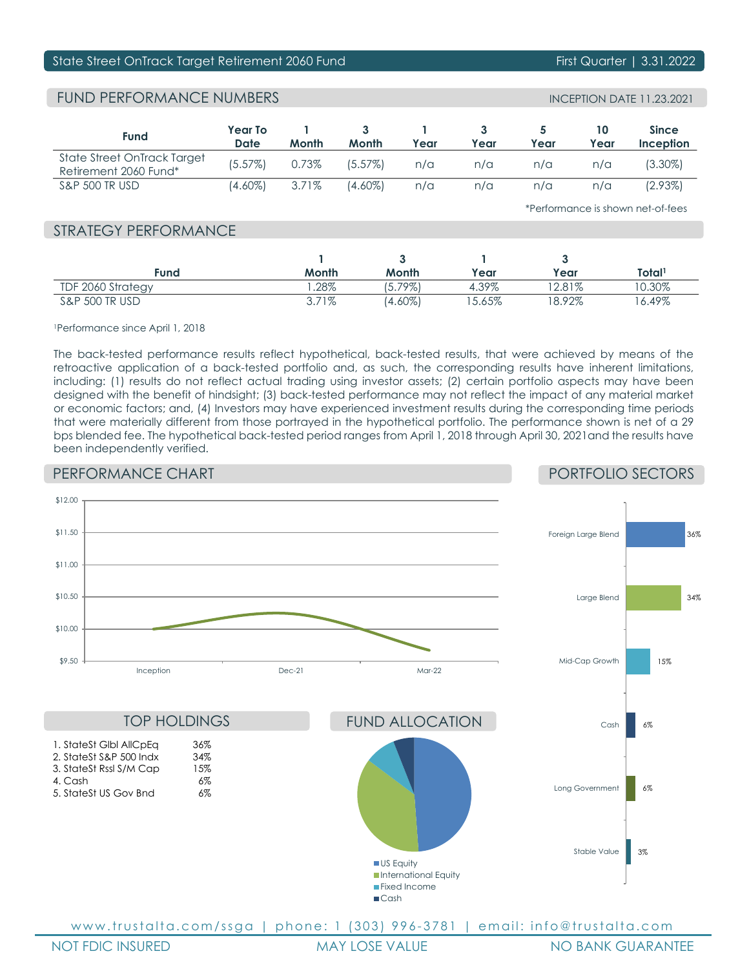## State Street OnTrack Target Retirement 2060 Fund First Communication First Quarter | 3.31.2022

## FUND PERFORMANCE NUMBERS

| <b>Fund</b>                                          | Year To<br>Date | Month | Month   | Year | Year | Year | Year | <b>Since</b><br>Inception |
|------------------------------------------------------|-----------------|-------|---------|------|------|------|------|---------------------------|
| State Street OnTrack Target<br>Retirement 2060 Fund* | (5.57%)         | 0.73% | (5.57%) | n/a  | n/a  | n/a  | n/a  | (3.30%)                   |
| <b>S&amp;P 500 TR USD</b>                            | (4.60%)         | 3.71% | (4.60%) | n/a  | n/a  | n/a  | n/a  | $(2.93\%)$                |

\*Performance is shown net-of-fees

## STRATEGY PERFORMANCE

| Fund                      | Month | Month      | Year     | Year     | Total1   |
|---------------------------|-------|------------|----------|----------|----------|
| TDF 2060 Strategy         | .28%  | $(5.79\%)$ | 4.39%    | $2.81\%$ | 0.30%    |
| <b>S&amp;P 500 TR USD</b> | 3.71% | $(4.60\%)$ | $5.65\%$ | $8.92\%$ | $6.49\%$ |

1Performance since April 1, 2018

The back-tested performance results reflect hypothetical, back-tested results, that were achieved by means of the retroactive application of a back-tested portfolio and, as such, the corresponding results have inherent limitations, including: (1) results do not reflect actual trading using investor assets; (2) certain portfolio aspects may have been designed with the benefit of hindsight; (3) back-tested performance may not reflect the impact of any material market or economic factors; and, (4) Investors may have experienced investment results during the corresponding time periods that were materially different from those portrayed in the hypothetical portfolio. The performance shown is net of a 29 bps blended fee. The hypothetical back-tested period ranges from April 1, 2018 through April 30, 2021and the results have been independently verified.

## PERFORMANCE CHART

## PORTFOLIO SECTORS



NOT FDIC INSURED MAY LOSE VALUE NO BANK GUARANTEE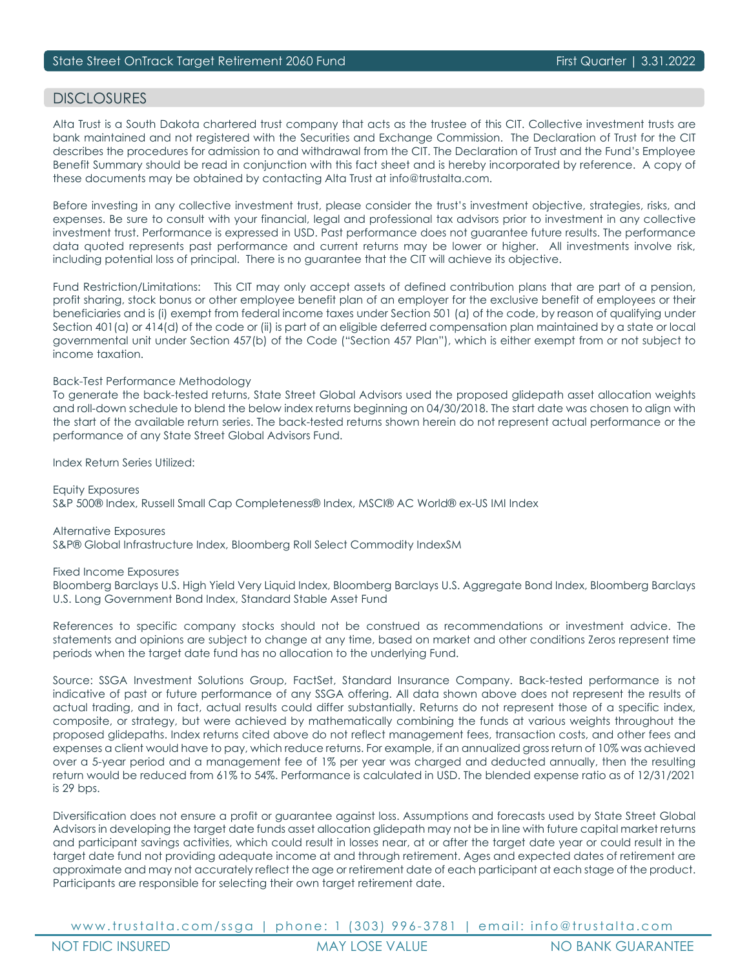## DISCI OSURES

Alta Trust is a South Dakota chartered trust company that acts as the trustee of this CIT. Collective investment trusts are bank maintained and not registered with the Securities and Exchange Commission. The Declaration of Trust for the CIT describes the procedures for admission to and withdrawal from the CIT. The Declaration of Trust and the Fund's Employee Benefit Summary should be read in conjunction with this fact sheet and is hereby incorporated by reference. A copy of these documents may be obtained by contacting Alta Trust at info@trustalta.com.

Before investing in any collective investment trust, please consider the trust's investment objective, strategies, risks, and expenses. Be sure to consult with your financial, legal and professional tax advisors prior to investment in any collective investment trust. Performance is expressed in USD. Past performance does not guarantee future results. The performance data quoted represents past performance and current returns may be lower or higher. All investments involve risk, including potential loss of principal. There is no guarantee that the CIT will achieve its objective.

Fund Restriction/Limitations: This CIT may only accept assets of defined contribution plans that are part of a pension, profit sharing, stock bonus or other employee benefit plan of an employer for the exclusive benefit of employees or their beneficiaries and is (i) exempt from federal income taxes under Section 501 (a) of the code, by reason of qualifying under Section 401(a) or 414(d) of the code or (ii) is part of an eligible deferred compensation plan maintained by a state or local governmental unit under Section 457(b) of the Code ("Section 457 Plan"), which is either exempt from or not subject to income taxation.

#### Back-Test Performance Methodology

To generate the back-tested returns, State Street Global Advisors used the proposed glidepath asset allocation weights and roll-down schedule to blend the below index returns beginning on 04/30/2018. The start date was chosen to align with the start of the available return series. The back-tested returns shown herein do not represent actual performance or the performance of any State Street Global Advisors Fund.

Index Return Series Utilized:

Equity Exposures S&P 500® Index, Russell Small Cap Completeness® Index, MSCI® AC World® ex-US IMI Index

Alternative Exposures S&P® Global Infrastructure Index, Bloomberg Roll Select Commodity IndexSM

Fixed Income Exposures

Bloomberg Barclays U.S. High Yield Very Liquid Index, Bloomberg Barclays U.S. Aggregate Bond Index, Bloomberg Barclays U.S. Long Government Bond Index, Standard Stable Asset Fund

References to specific company stocks should not be construed as recommendations or investment advice. The statements and opinions are subject to change at any time, based on market and other conditions Zeros represent time periods when the target date fund has no allocation to the underlying Fund.

Source: SSGA Investment Solutions Group, FactSet, Standard Insurance Company. Back-tested performance is not indicative of past or future performance of any SSGA offering. All data shown above does not represent the results of actual trading, and in fact, actual results could differ substantially. Returns do not represent those of a specific index, composite, or strategy, but were achieved by mathematically combining the funds at various weights throughout the proposed glidepaths. Index returns cited above do not reflect management fees, transaction costs, and other fees and expenses a client would have to pay, which reduce returns. For example, if an annualized gross return of 10% was achieved over a 5-year period and a management fee of 1% per year was charged and deducted annually, then the resulting return would be reduced from 61% to 54%. Performance is calculated in USD. The blended expense ratio as of 12/31/2021 is 29 bps.

Diversification does not ensure a profit or guarantee against loss. Assumptions and forecasts used by State Street Global Advisors in developing the target date funds asset allocation glidepath may not be in line with future capital market returns and participant savings activities, which could result in losses near, at or after the target date year or could result in the target date fund not providing adequate income at and through retirement. Ages and expected dates of retirement are approximate and may not accurately reflect the age or retirement date of each participant at each stage of the product. Participants are responsible for selecting their own target retirement date.

www.trustalta.com/ ssga | phone: 1 ( 303 ) 996 - 3781 | email: info@trustalta.com